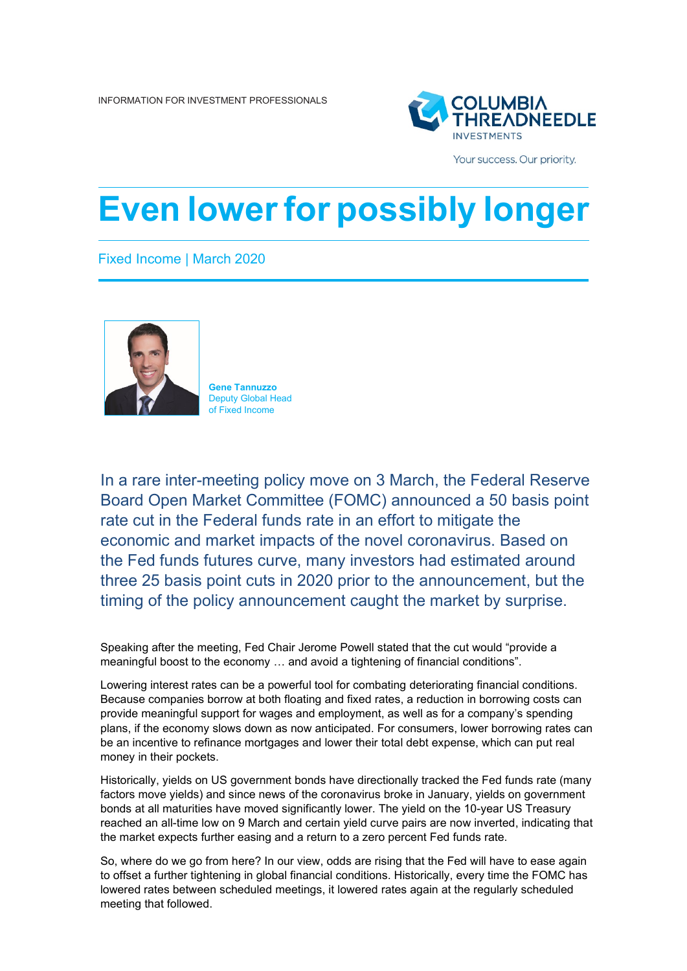

Your success. Our priority.

## **Even lowerfor possibly longer**

Fixed Income | March 2020



**Gene Tannuzzo** Deputy Global Head of Fixed Income

In a rare inter-meeting policy move on 3 March, the Federal Reserve Board Open Market Committee (FOMC) announced a 50 basis point rate cut in the Federal funds rate in an effort to mitigate the economic and market impacts of the novel coronavirus. Based on the Fed funds futures curve, many investors had estimated around three 25 basis point cuts in 2020 prior to the announcement, but the timing of the policy announcement caught the market by surprise.

Speaking after the meeting, Fed Chair Jerome Powell stated that the cut would "provide a meaningful boost to the economy … and avoid a tightening of financial conditions".

Lowering interest rates can be a powerful tool for combating deteriorating financial conditions. Because companies borrow at both floating and fixed rates, a reduction in borrowing costs can provide meaningful support for wages and employment, as well as for a company's spending plans, if the economy slows down as now anticipated. For consumers, lower borrowing rates can be an incentive to refinance mortgages and lower their total debt expense, which can put real money in their pockets.

Historically, yields on US government bonds have directionally tracked the Fed funds rate (many factors move yields) and since news of the coronavirus broke in January, yields on government bonds at all maturities have moved significantly lower. The yield on the 10-year US Treasury reached an all-time low on 9 March and certain yield curve pairs are now inverted, indicating that the market expects further easing and a return to a zero percent Fed funds rate.

So, where do we go from here? In our view, odds are rising that the Fed will have to ease again to offset a further tightening in global financial conditions. Historically, every time the FOMC has lowered rates between scheduled meetings, it lowered rates again at the regularly scheduled meeting that followed.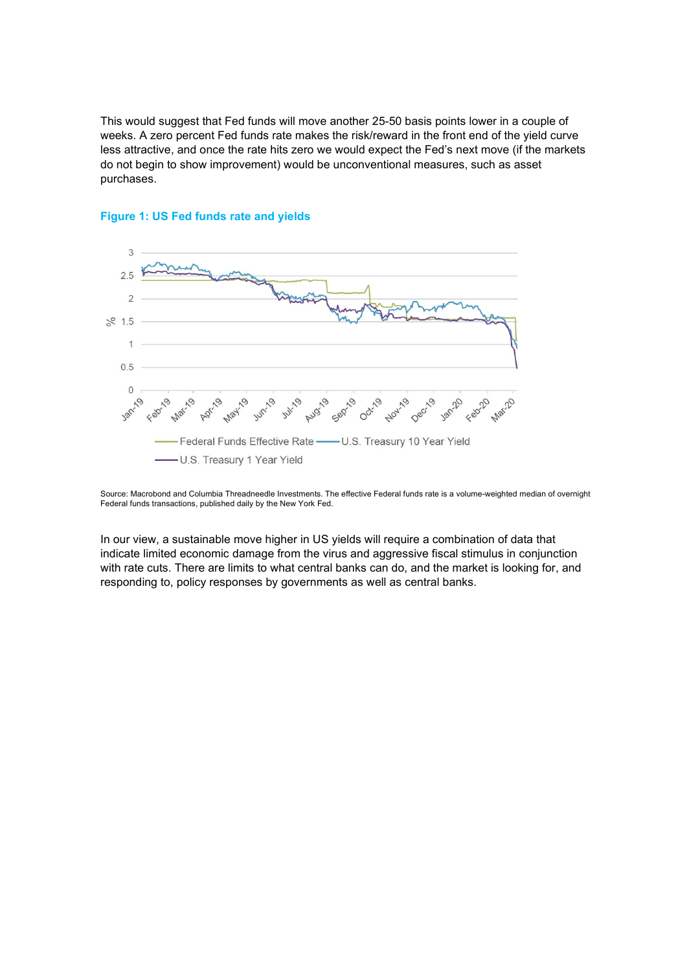This would suggest that Fed funds will move another 25-50 basis points lower in a couple of weeks. A zero percent Fed funds rate makes the risk/reward in the front end of the yield curve less attractive, and once the rate hits zero we would expect the Fed's next move (if the markets do not begin to show improvement) would be unconventional measures, such as asset purchases.



## **Figure 1: US Fed funds rate and yields**

Source: Macrobond and Columbia Threadneedle Investments. The effective Federal funds rate is a volume-weighted median of overnight Federal funds transactions, published daily by the New York Fed.

In our view, a sustainable move higher in US yields will require a combination of data that indicate limited economic damage from the virus and aggressive fiscal stimulus in conjunction with rate cuts. There are limits to what central banks can do, and the market is looking for, and responding to, policy responses by governments as well as central banks.